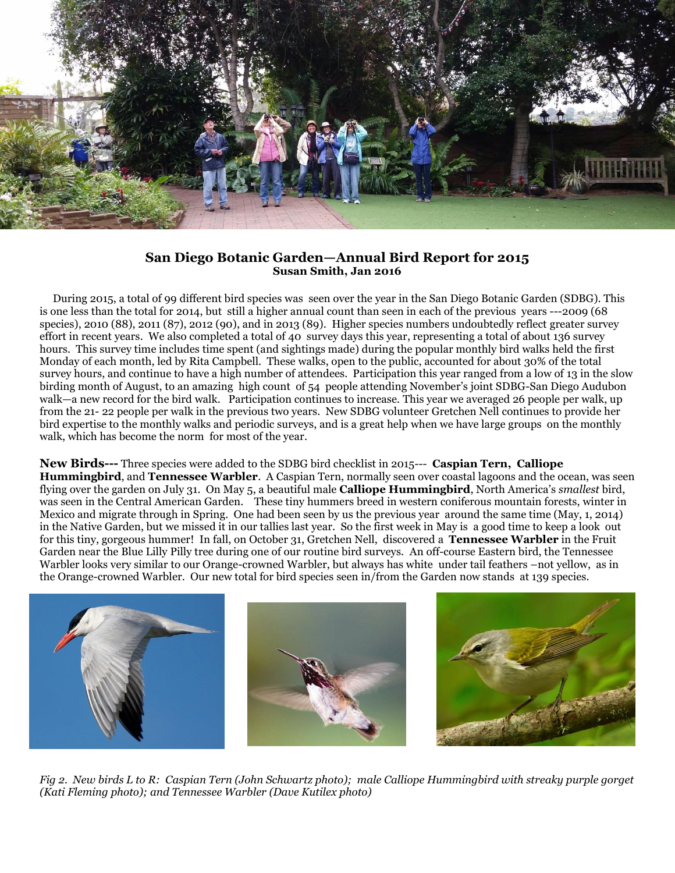

## **San Diego Botanic Garden—Annual Bird Report for 2015 Susan Smith, Jan 2016**

 During 2015, a total of 99 different bird species was seen over the year in the San Diego Botanic Garden (SDBG). This is one less than the total for 2014, but still a higher annual count than seen in each of the previous years ---2009 (68 species), 2010 (88), 2011 (87), 2012 (90), and in 2013 (89). Higher species numbers undoubtedly reflect greater survey effort in recent years. We also completed a total of 40 survey days this year, representing a total of about 136 survey hours. This survey time includes time spent (and sightings made) during the popular monthly bird walks held the first Monday of each month, led by Rita Campbell. These walks, open to the public, accounted for about 30% of the total survey hours, and continue to have a high number of attendees. Participation this year ranged from a low of 13 in the slow birding month of August, to an amazing high count of 54 people attending November's joint SDBG-San Diego Audubon walk—a new record for the bird walk. Participation continues to increase. This year we averaged 26 people per walk, up from the 21- 22 people per walk in the previous two years. New SDBG volunteer Gretchen Nell continues to provide her bird expertise to the monthly walks and periodic surveys, and is a great help when we have large groups on the monthly walk, which has become the norm for most of the year.

## **New Birds---** Three species were added to the SDBG bird checklist in 2015--- **Caspian Tern, Calliope**

**Hummingbird**, and **Tennessee Warbler**. A Caspian Tern, normally seen over coastal lagoons and the ocean, was seen flying over the garden on July 31. On May 5, a beautiful male **Calliope Hummingbird**, North America's *smallest* bird, was seen in the Central American Garden. These tiny hummers breed in western coniferous mountain forests, winter in Mexico and migrate through in Spring. One had been seen by us the previous year around the same time (May, 1, 2014) in the Native Garden, but we missed it in our tallies last year. So the first week in May is a good time to keep a look out for this tiny, gorgeous hummer! In fall, on October 31, Gretchen Nell, discovered a **Tennessee Warbler** in the Fruit Garden near the Blue Lilly Pilly tree during one of our routine bird surveys. An off-course Eastern bird, the Tennessee Warbler looks very similar to our Orange-crowned Warbler, but always has white under tail feathers –not yellow, as in the Orange-crowned Warbler. Our new total for bird species seen in/from the Garden now stands at 139 species.



*Fig 2. New birds L to R: Caspian Tern (John Schwartz photo); male Calliope Hummingbird with streaky purple gorget (Kati Fleming photo); and Tennessee Warbler (Dave Kutilex photo)*